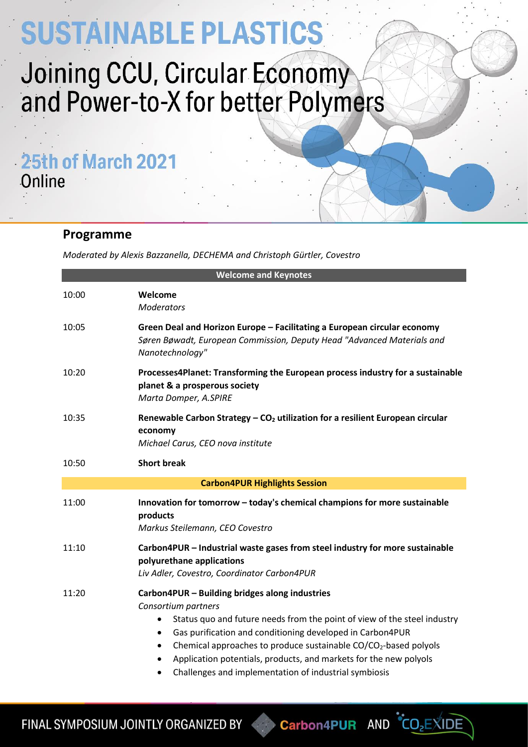# SUSTAINABLE PLASTICS

## Joining CCU, Circular Economy and Power-to-X for better Polymers

25th of March 2021 Online

### **Programme**

*Moderated by Alexis Bazzanella, DECHEMA and Christoph Gürtler, Covestro*

| <b>Welcome and Keynotes</b>          |                                                                                                                                                                                                                                                                                                                                                                                                                                                                       |  |
|--------------------------------------|-----------------------------------------------------------------------------------------------------------------------------------------------------------------------------------------------------------------------------------------------------------------------------------------------------------------------------------------------------------------------------------------------------------------------------------------------------------------------|--|
| 10:00                                | Welcome<br><b>Moderators</b>                                                                                                                                                                                                                                                                                                                                                                                                                                          |  |
| 10:05                                | Green Deal and Horizon Europe - Facilitating a European circular economy<br>Søren Bøwadt, European Commission, Deputy Head "Advanced Materials and<br>Nanotechnology"                                                                                                                                                                                                                                                                                                 |  |
| 10:20                                | Processes4Planet: Transforming the European process industry for a sustainable<br>planet & a prosperous society<br>Marta Domper, A.SPIRE                                                                                                                                                                                                                                                                                                                              |  |
| 10:35                                | Renewable Carbon Strategy $-$ CO <sub>2</sub> utilization for a resilient European circular<br>economy<br>Michael Carus, CEO nova institute                                                                                                                                                                                                                                                                                                                           |  |
| 10:50                                | <b>Short break</b>                                                                                                                                                                                                                                                                                                                                                                                                                                                    |  |
| <b>Carbon4PUR Highlights Session</b> |                                                                                                                                                                                                                                                                                                                                                                                                                                                                       |  |
| 11:00                                | Innovation for tomorrow - today's chemical champions for more sustainable<br>products<br>Markus Steilemann, CEO Covestro                                                                                                                                                                                                                                                                                                                                              |  |
| 11:10                                | Carbon4PUR - Industrial waste gases from steel industry for more sustainable<br>polyurethane applications<br>Liv Adler, Covestro, Coordinator Carbon4PUR                                                                                                                                                                                                                                                                                                              |  |
| 11:20                                | Carbon4PUR - Building bridges along industries<br>Consortium partners<br>Status quo and future needs from the point of view of the steel industry<br>٠<br>Gas purification and conditioning developed in Carbon4PUR<br>$\bullet$<br>Chemical approaches to produce sustainable CO/CO <sub>2</sub> -based polyols<br>$\bullet$<br>Application potentials, products, and markets for the new polyols<br>٠<br>Challenges and implementation of industrial symbiosis<br>٠ |  |

FINAL SYMPOSIUM JOINTLY ORGANIZED BY

**Carbon4PUR** 

 $AND$   $CO<sub>2</sub>EXIDE$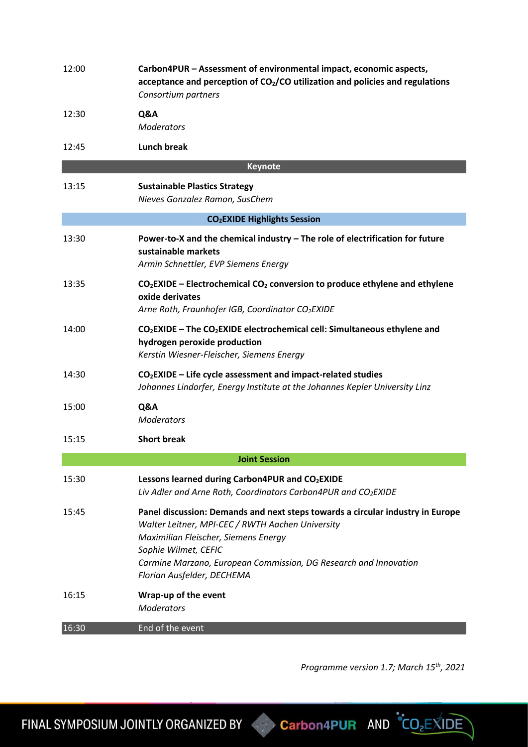| 12:00                                         | Carbon4PUR - Assessment of environmental impact, economic aspects,<br>acceptance and perception of $CO2/CO$ utilization and policies and regulations<br>Consortium partners                                                                                                                          |  |
|-----------------------------------------------|------------------------------------------------------------------------------------------------------------------------------------------------------------------------------------------------------------------------------------------------------------------------------------------------------|--|
| 12:30                                         | Q&A<br><b>Moderators</b>                                                                                                                                                                                                                                                                             |  |
| 12:45                                         | <b>Lunch break</b>                                                                                                                                                                                                                                                                                   |  |
| <b>Keynote</b>                                |                                                                                                                                                                                                                                                                                                      |  |
| 13:15                                         | <b>Sustainable Plastics Strategy</b><br>Nieves Gonzalez Ramon, SusChem                                                                                                                                                                                                                               |  |
| <b>CO<sub>2</sub>EXIDE Highlights Session</b> |                                                                                                                                                                                                                                                                                                      |  |
| 13:30                                         | Power-to-X and the chemical industry - The role of electrification for future<br>sustainable markets<br>Armin Schnettler, EVP Siemens Energy                                                                                                                                                         |  |
| 13:35                                         | $CO2$ EXIDE – Electrochemical CO <sub>2</sub> conversion to produce ethylene and ethylene<br>oxide derivates<br>Arne Roth, Fraunhofer IGB, Coordinator CO <sub>2</sub> EXIDE                                                                                                                         |  |
| 14:00                                         | $CO2$ EXIDE – The CO <sub>2</sub> EXIDE electrochemical cell: Simultaneous ethylene and<br>hydrogen peroxide production<br>Kerstin Wiesner-Fleischer, Siemens Energy                                                                                                                                 |  |
| 14:30                                         | $CO2EXIDE - Life cycle assessment and impact-related studies$<br>Johannes Lindorfer, Energy Institute at the Johannes Kepler University Linz                                                                                                                                                         |  |
| 15:00                                         | Q&A<br><b>Moderators</b>                                                                                                                                                                                                                                                                             |  |
| 15:15                                         | <b>Short break</b>                                                                                                                                                                                                                                                                                   |  |
|                                               | <b>Joint Session</b>                                                                                                                                                                                                                                                                                 |  |
| 15:30                                         | Lessons learned during Carbon4PUR and CO2EXIDE<br>Liv Adler and Arne Roth, Coordinators Carbon4PUR and CO2EXIDE                                                                                                                                                                                      |  |
| 15:45                                         | Panel discussion: Demands and next steps towards a circular industry in Europe<br>Walter Leitner, MPI-CEC / RWTH Aachen University<br>Maximilian Fleischer, Siemens Energy<br>Sophie Wilmet, CEFIC<br>Carmine Marzano, European Commission, DG Research and Innovation<br>Florian Ausfelder, DECHEMA |  |
| 16:15                                         | Wrap-up of the event<br><b>Moderators</b>                                                                                                                                                                                                                                                            |  |
| 16:30                                         | End of the event                                                                                                                                                                                                                                                                                     |  |

*Programme version 1.7; March 15th, 2021*

FINAL SYMPOSIUM JOINTLY ORGANIZED BY Carbon4PUR AND CO<sub>2</sub>EXIDE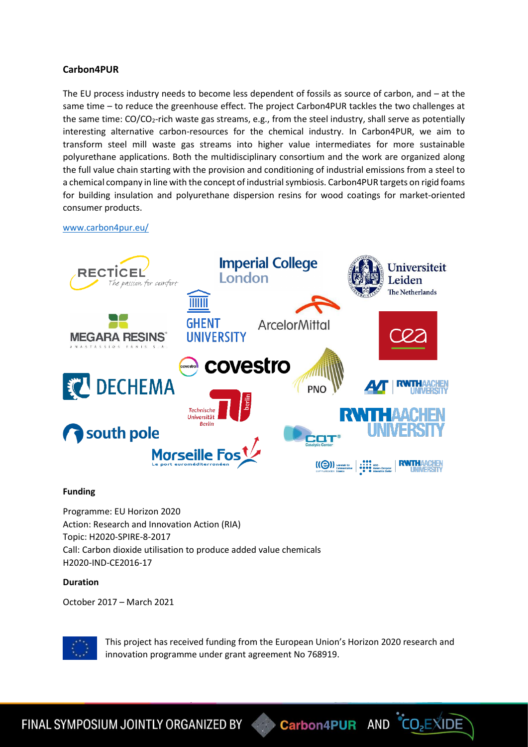#### **Carbon4PUR**

The EU process industry needs to become less dependent of fossils as source of carbon, and – at the same time – to reduce the greenhouse effect. The project Carbon4PUR tackles the two challenges at the same time: CO/CO<sub>2</sub>-rich waste gas streams, e.g., from the steel industry, shall serve as potentially interesting alternative carbon-resources for the chemical industry. In Carbon4PUR, we aim to transform steel mill waste gas streams into higher value intermediates for more sustainable polyurethane applications. Both the multidisciplinary consortium and the work are organized along the full value chain starting with the provision and conditioning of industrial emissions from a steel to a chemical company in line with the concept of industrial symbiosis. Carbon4PUR targets on rigid foams for building insulation and polyurethane dispersion resins for wood coatings for market-oriented consumer products.

[www.carbon4pur.eu/](https://www.carbon4pur.eu/)



#### **Funding**

Programme: EU Horizon 2020 Action: Research and Innovation Action (RIA) Topic: H2020-SPIRE-8-2017 Call: Carbon dioxide utilisation to produce added value chemicals H2020-IND-CE2016-17

#### **Duration**

October 2017 – March 2021



This project has received funding from the European Union's Horizon 2020 research and innovation programme under grant agreement No 768919.

FINAL SYMPOSIUM JOINTLY ORGANIZED BY **Carbon4PUR** AND CO<sub>2</sub>EXIDE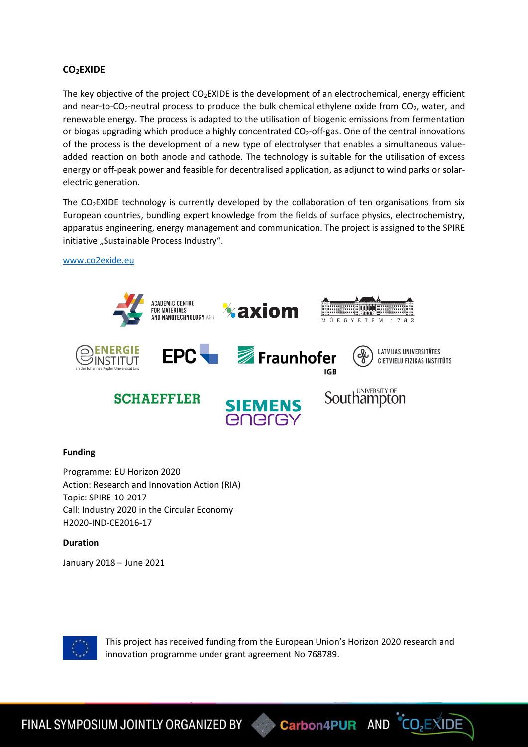#### **CO2EXIDE**

The key objective of the project  $CO<sub>2</sub>EXIDE$  is the development of an electrochemical, energy efficient and near-to-CO<sub>2</sub>-neutral process to produce the bulk chemical ethylene oxide from CO<sub>2</sub>, water, and renewable energy. The process is adapted to the utilisation of biogenic emissions from fermentation or biogas upgrading which produce a highly concentrated  $CO<sub>2</sub>$ -off-gas. One of the central innovations of the process is the development of a new type of electrolyser that enables a simultaneous valueadded reaction on both anode and cathode. The technology is suitable for the utilisation of excess energy or off-peak power and feasible for decentralised application, as adjunct to wind parks or solarelectric generation.

The CO<sub>2</sub>EXIDE technology is currently developed by the collaboration of ten organisations from six European countries, bundling expert knowledge from the fields of surface physics, electrochemistry, apparatus engineering, energy management and communication. The project is assigned to the SPIRE initiative "Sustainable Process Industry".

[www.co2exide.eu](http://www.co2exide.eu/)



#### **Funding**

Programme: EU Horizon 2020 Action: Research and Innovation Action (RIA) Topic: SPIRE-10-2017 Call: Industry 2020 in the Circular Economy H2020-IND-CE2016-17

**Duration**

January 2018 – June 2021



This project has received funding from the European Union's Horizon 2020 research and innovation programme under grant agreement No 768789.

Carbon4PUR AND CO<sub>2</sub>EXIDE

FINAL SYMPOSIUM JOINTLY ORGANIZED BY